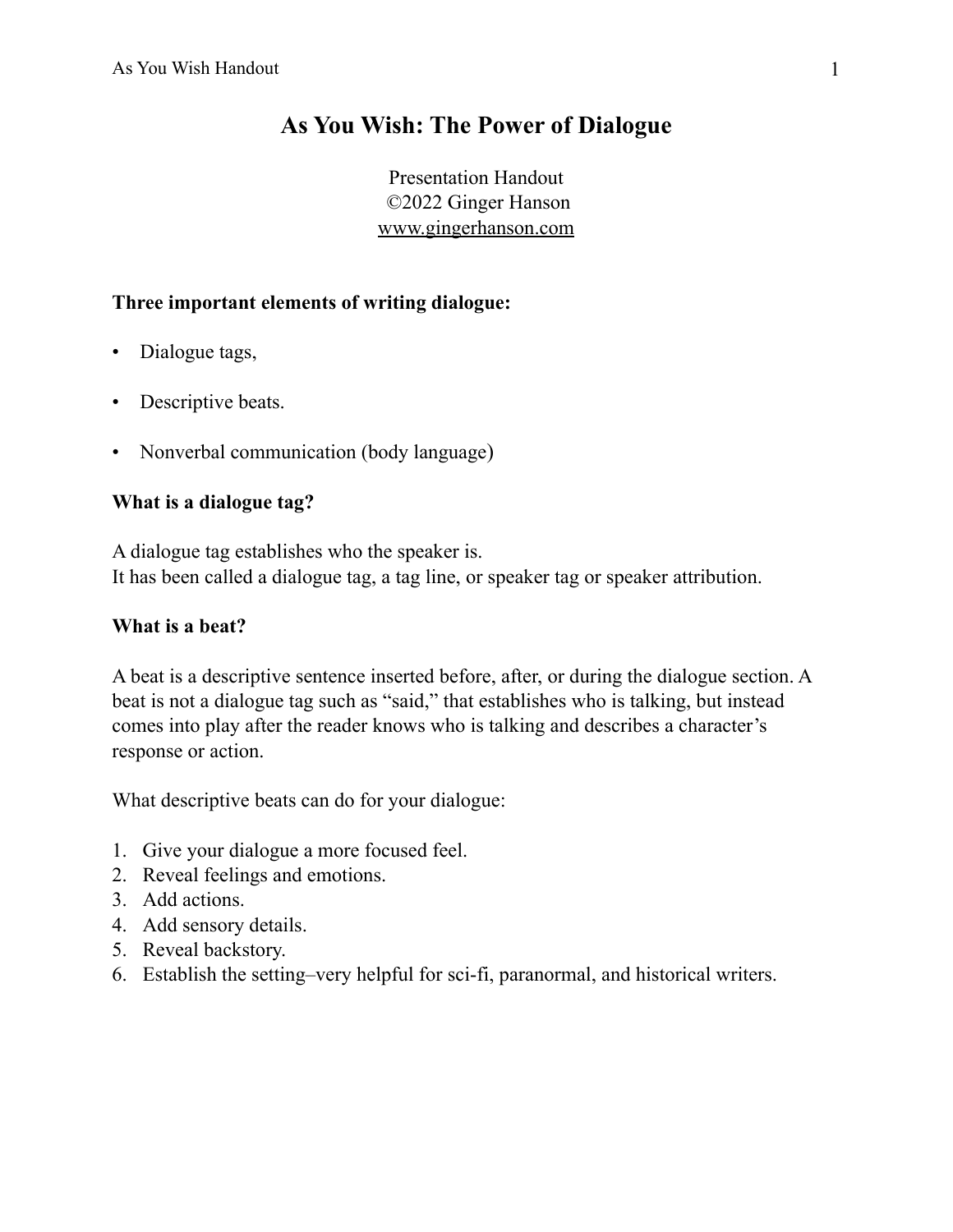# **As You Wish: The Power of Dialogue**

Presentation Handout ©2022 Ginger Hanson [www.gingerhanson.com](http://www.gingerhanson.com)

### **Three important elements of writing dialogue:**

- Dialogue tags,
- Descriptive beats.
- Nonverbal communication (body language)

### **What is a dialogue tag?**

A dialogue tag establishes who the speaker is. It has been called a dialogue tag, a tag line, or speaker tag or speaker attribution.

### **What is a beat?**

A beat is a descriptive sentence inserted before, after, or during the dialogue section. A beat is not a dialogue tag such as "said," that establishes who is talking, but instead comes into play after the reader knows who is talking and describes a character's response or action.

What descriptive beats can do for your dialogue:

- 1. Give your dialogue a more focused feel.
- 2. Reveal feelings and emotions.
- 3. Add actions.
- 4. Add sensory details.
- 5. Reveal backstory.
- 6. Establish the setting–very helpful for sci-fi, paranormal, and historical writers.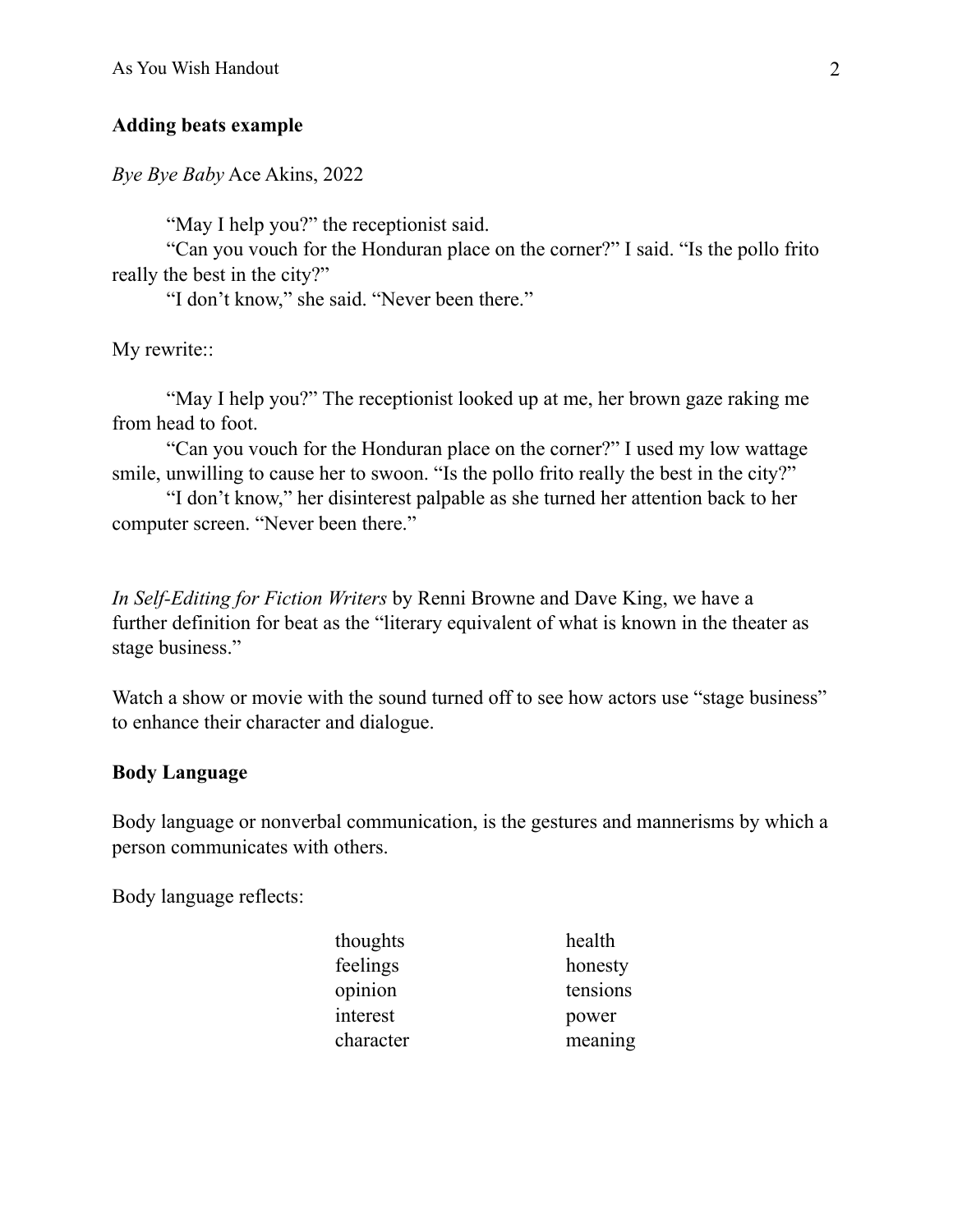#### **Adding beats example**

*Bye Bye Baby* Ace Akins, 2022

"May I help you?" the receptionist said.

 "Can you vouch for the Honduran place on the corner?" I said. "Is the pollo frito really the best in the city?"

"I don't know," she said. "Never been there."

My rewrite::

 "May I help you?" The receptionist looked up at me, her brown gaze raking me from head to foot.

 "Can you vouch for the Honduran place on the corner?" I used my low wattage smile, unwilling to cause her to swoon. "Is the pollo frito really the best in the city?"

 "I don't know," her disinterest palpable as she turned her attention back to her computer screen. "Never been there."

*In Self-Editing for Fiction Writers* by Renni Browne and Dave King, we have a further definition for beat as the "literary equivalent of what is known in the theater as stage business."

Watch a show or movie with the sound turned off to see how actors use "stage business" to enhance their character and dialogue.

#### **Body Language**

Body language or nonverbal communication, is the gestures and mannerisms by which a person communicates with others.

Body language reflects:

| thoughts  | health   |
|-----------|----------|
| feelings  | honesty  |
| opinion   | tensions |
| interest  | power    |
| character | meaning  |
|           |          |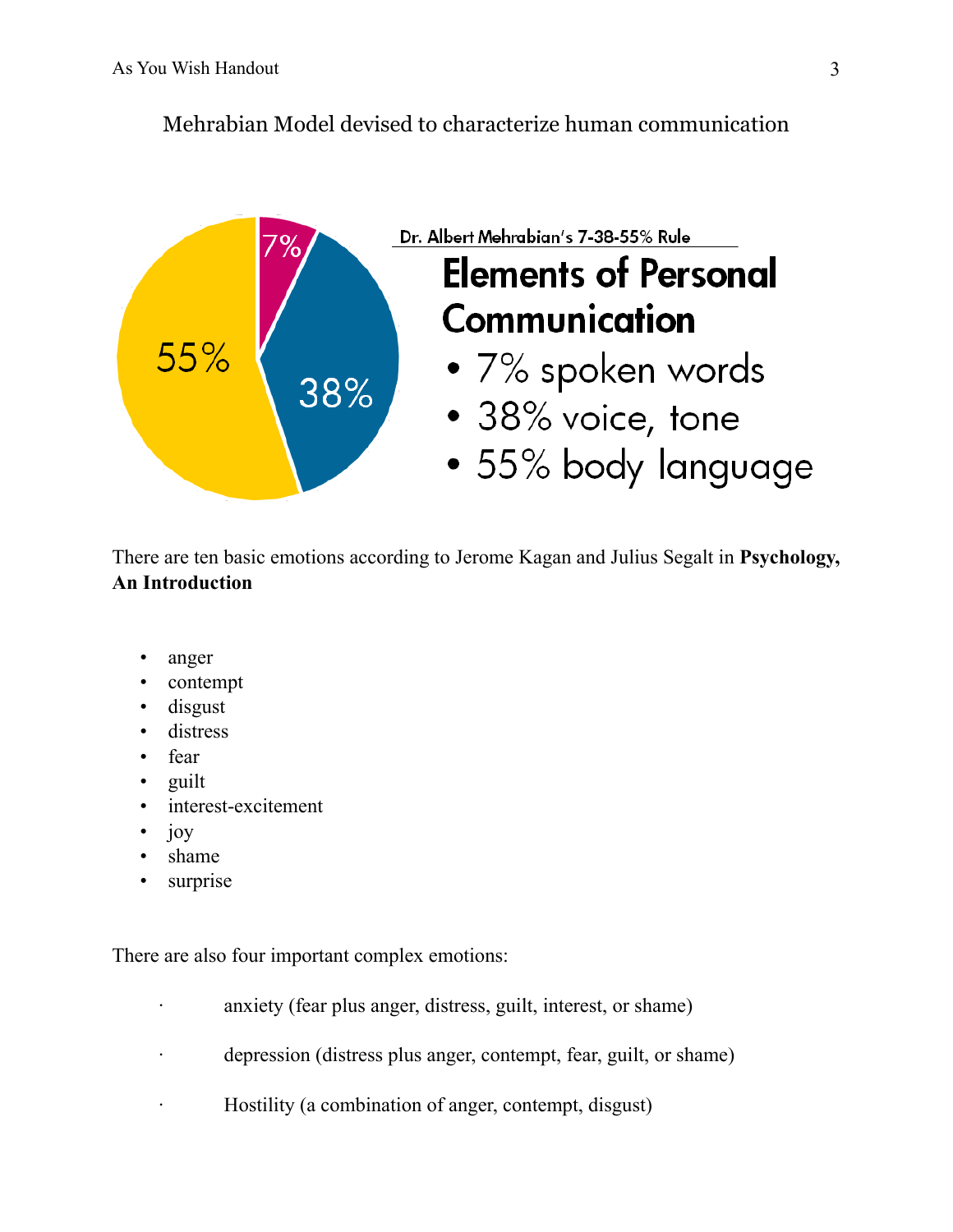## Mehrabian Model devised to characterize human communication



There are ten basic emotions according to Jerome Kagan and Julius Segalt in **Psychology, An Introduction**

- anger
- contempt
- disgust
- distress
- fear
- guilt
- interest-excitement
- joy
- shame
- surprise

There are also four important complex emotions:

- anxiety (fear plus anger, distress, guilt, interest, or shame)
- depression (distress plus anger, contempt, fear, guilt, or shame)
- Hostility (a combination of anger, contempt, disgust)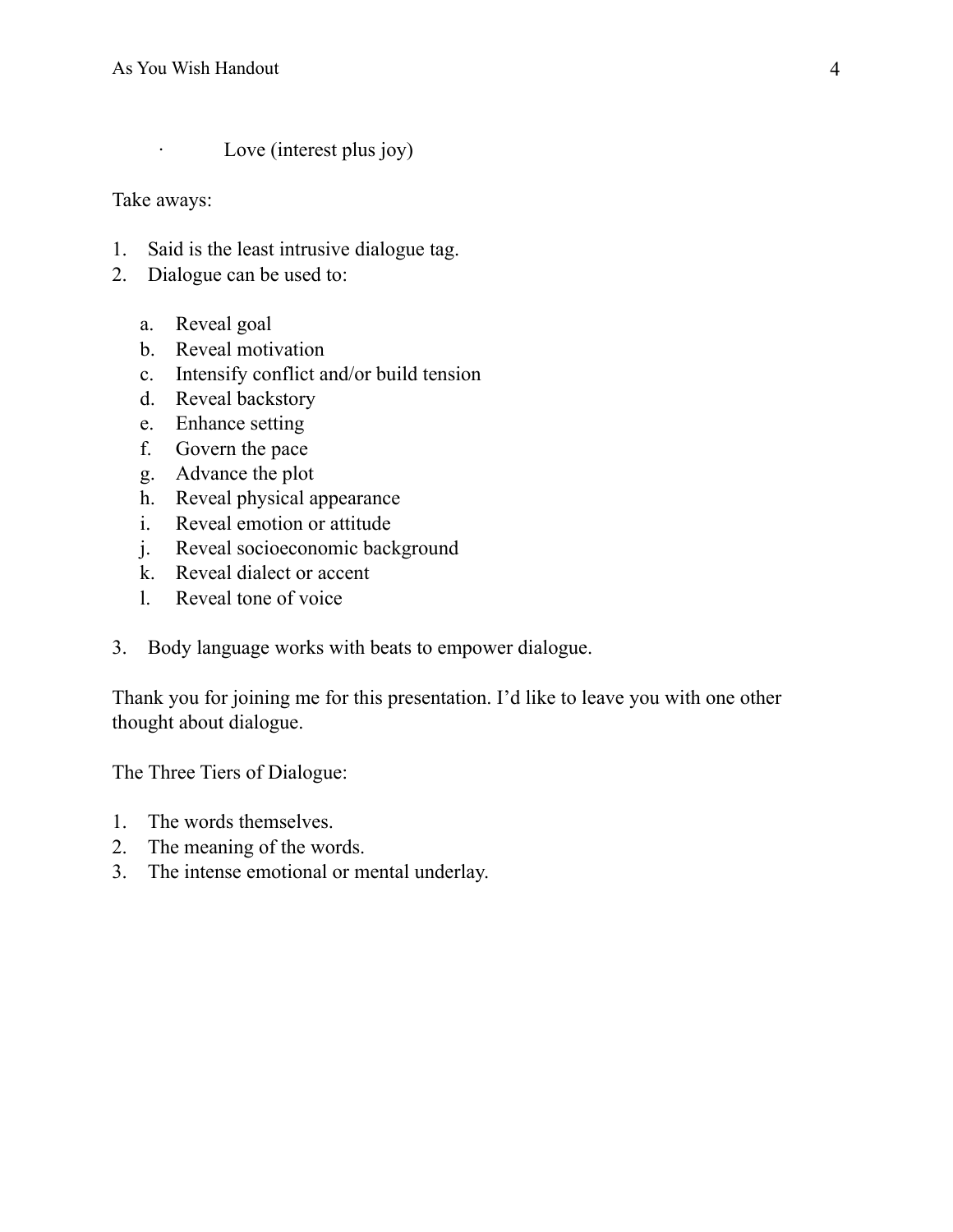· Love (interest plus joy)

Take aways:

- 1. Said is the least intrusive dialogue tag.
- 2. Dialogue can be used to:
	- a. Reveal goal
	- b. Reveal motivation
	- c. Intensify conflict and/or build tension
	- d. Reveal backstory
	- e. Enhance setting
	- f. Govern the pace
	- g. Advance the plot
	- h. Reveal physical appearance
	- i. Reveal emotion or attitude
	- j. Reveal socioeconomic background
	- k. Reveal dialect or accent
	- l. Reveal tone of voice
- 3. Body language works with beats to empower dialogue.

Thank you for joining me for this presentation. I'd like to leave you with one other thought about dialogue.

The Three Tiers of Dialogue:

- 1. The words themselves.
- 2. The meaning of the words.
- 3. The intense emotional or mental underlay.